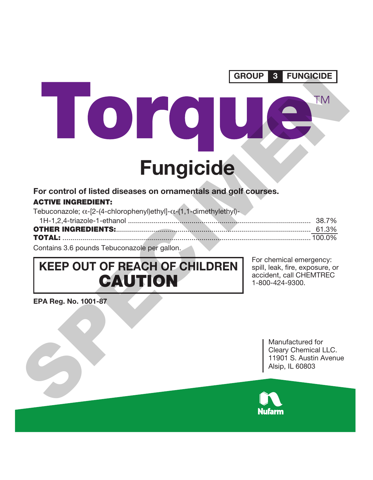

### **For control of listed diseases on ornamentals and golf courses. ACTIVE INGREDIENT:**

| Tebuconazole; $\alpha$ -[2-(4-chlorophenyl)ethyl]- $\alpha$ -(1,1-dimethylethyl)- |  |  |  |
|-----------------------------------------------------------------------------------|--|--|--|
|                                                                                   |  |  |  |

| Contains 3.6 pounds Tebuconazole per gallon. |  |  |
|----------------------------------------------|--|--|

# **KEEP OUT OF REACH OF CHILDREN CAUTION**

For chemical emergency: spill, leak, fire, exposure, or accident, call CHEMTREC 1-800-424-9300.

**EPA Reg. No. 1001-87**

Manufactured for Cleary Chemical LLC. 11901 S. Austin Avenue Alsip, IL 60803

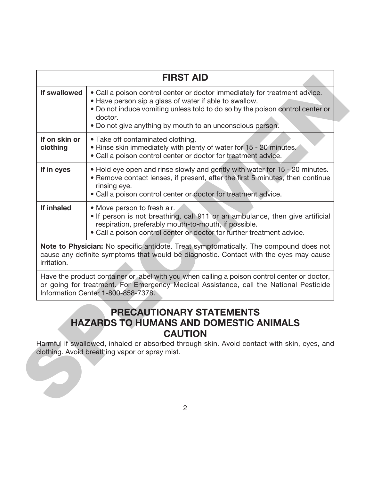|                           | <b>FIRST AID</b>                                                                                                                                                                                                                                                                              |
|---------------------------|-----------------------------------------------------------------------------------------------------------------------------------------------------------------------------------------------------------------------------------------------------------------------------------------------|
| If swallowed              | • Call a poison control center or doctor immediately for treatment advice.<br>• Have person sip a glass of water if able to swallow.<br>• Do not induce vomiting unless told to do so by the poison control center or<br>doctor.<br>• Do not give anything by mouth to an unconscious person. |
| If on skin or<br>clothing | • Take off contaminated clothing.<br>. Rinse skin immediately with plenty of water for 15 - 20 minutes.<br>• Call a poison control center or doctor for treatment advice.                                                                                                                     |
| If in eyes                | • Hold eye open and rinse slowly and gently with water for 15 - 20 minutes.<br>• Remove contact lenses, if present, after the first 5 minutes, then continue<br>rinsing eye.<br>• Call a poison control center or doctor for treatment advice.                                                |
| If inhaled                | • Move person to fresh air.<br>. If person is not breathing, call 911 or an ambulance, then give artificial<br>respiration, preferably mouth-to-mouth, if possible.<br>. Call a poison control center or doctor for further treatment advice.                                                 |
| irritation.               | Note to Physician: No specific antidote. Treat symptomatically. The compound does not<br>cause any definite symptoms that would be diagnostic. Contact with the eyes may cause                                                                                                                |
|                           | Have the product container or label with you when calling a poison control center or doctor,<br>or going for treatment. For Emergency Medical Assistance, call the National Pesticide<br>Information Center 1-800-858-7378.                                                                   |
|                           | <b>PRECAUTIONARY STATEMENTS</b><br><b>HAZARDS TO HUMANS AND DOMESTIC ANIMALS</b><br><b>CAUTION</b>                                                                                                                                                                                            |

### **PRECAUTIONARY STATEMENTS HAZARDS TO HUMANS AND DOMESTIC ANIMALS CAUTION**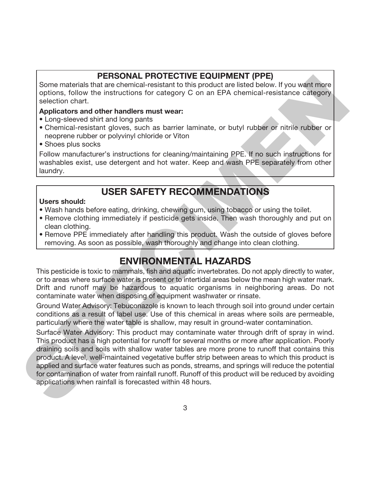### **PERSONAL PROTECTIVE EQUIPMENT (PPE)**

Some materials that are chemical-resistant to this product are listed below. If you want more options, follow the instructions for category C on an EPA chemical-resistance category selection chart.

#### **Applicators and other handlers must wear:**

- Long-sleeved shirt and long pants
- Chemical-resistant gloves, such as barrier laminate, or butyl rubber or nitrile rubber or neoprene rubber or polyvinyl chloride or Viton
- Shoes plus socks

Follow manufacturer's instructions for cleaning/maintaining PPE. If no such instructions for washables exist, use detergent and hot water. Keep and wash PPE separately from other laundry.

## **USER SAFETY RECOMMENDATIONS**

#### **Users should:**

- Wash hands before eating, drinking, chewing gum, using tobacco or using the toilet.
- Remove clothing immediately if pesticide gets inside. Then wash thoroughly and put on clean clothing.
- Remove PPE immediately after handling this product. Wash the outside of gloves before removing. As soon as possible, wash thoroughly and change into clean clothing.

### **ENVIRONMENTAL HAZARDS**

This pesticide is toxic to mammals, fish and aquatic invertebrates. Do not apply directly to water, or to areas where surface water is present or to intertidal areas below the mean high water mark. Drift and runoff may be hazardous to aquatic organisms in neighboring areas. Do not contaminate water when disposing of equipment washwater or rinsate.

Ground Water Advisory: Tebuconazole is known to leach through soil into ground under certain conditions as a result of label use. Use of this chemical in areas where soils are permeable, particularly where the water table is shallow, may result in ground-water contamination.

Surface Water Advisory: This product may contaminate water through drift of spray in wind. This product has a high potential for runoff for several months or more after application. Poorly draining soils and soils with shallow water tables are more prone to runoff that contains this product. A level, well-maintained vegetative buffer strip between areas to which this product is applied and surface water features such as ponds, streams, and springs will reduce the potential for contamination of water from rainfall runoff. Runoff of this product will be reduced by avoiding applications when rainfall is forecasted within 48 hours. Some materials **PHESIONAL PHOTECTIVE LEUTIFYENT (PPE)**<br>
Some materials **Particular** of product multiple conduct and lated below. If you went more<br>
points, follow the institutions for category C on an EPA chemical-resistanc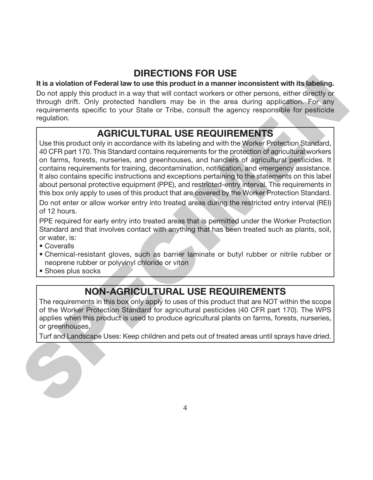## **DIRECTIONS FOR USE**

#### **It is a violation of Federal law to use this product in a manner inconsistent with its labeling.**

Do not apply this product in a way that will contact workers or other persons, either directly or through drift. Only protected handlers may be in the area during application. For any requirements specific to your State or Tribe, consult the agency responsible for pesticide regulation.

## **AGRICULTURAL USE REQUIREMENTS**

Use this product only in accordance with its labeling and with the Worker Protection Standard, 40 CFR part 170. This Standard contains requirements for the protection of agricultural workers on farms, forests, nurseries, and greenhouses, and handlers of agricultural pesticides. It contains requirements for training, decontamination, notification, and emergency assistance. It also contains specific instructions and exceptions pertaining to the statements on this label about personal protective equipment (PPE), and restricted-entry interval. The requirements in this box only apply to uses of this product that are covered by the Worker Protection Standard. It is a violation of Federal law to use this product in a mamer inconsistent with its labeling<br>Do not apply this product in a mamer inconsistent with list babiling<br>Dom to apply this product in a mamer inconsistent with lis

Do not enter or allow worker entry into treated areas during the restricted entry interval (REI) of 12 hours.

PPE required for early entry into treated areas that is permitted under the Worker Protection Standard and that involves contact with anything that has been treated such as plants, soil, or water, is:

- Coveralls
- Chemical-resistant gloves, such as barrier laminate or butyl rubber or nitrile rubber or neoprene rubber or polyvinyl chloride or viton
- Shoes plus socks

## **NON-AGRICULTURAL USE REQUIREMENTS**

The requirements in this box only apply to uses of this product that are NOT within the scope of the Worker Protection Standard for agricultural pesticides (40 CFR part 170). The WPS applies when this product is used to produce agricultural plants on farms, forests, nurseries, or greenhouses.

Turf and Landscape Uses: Keep children and pets out of treated areas until sprays have dried.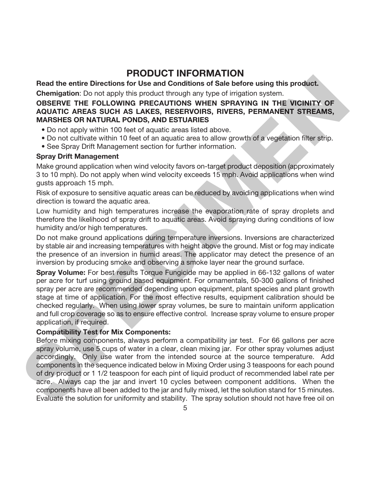### **PRODUCT INFORMATION**

**Read the entire Directions for Use and Conditions of Sale before using this product.**

**Chemigation**: Do not apply this product through any type of irrigation system.

#### **OBSERVE THE FOLLOWING PRECAUTIONS WHEN SPRAYING IN THE VICINITY OF AQUATIC AREAS SUCH AS LAKES, RESERVOIRS, RIVERS, PERMANENT STREAMS, MARSHES OR NATURAL PONDS, AND ESTUARIES**

- Do not apply within 100 feet of aquatic areas listed above.
- Do not cultivate within 10 feet of an aquatic area to allow growth of a vegetation filter strip.
- See Spray Drift Management section for further information.

#### **Spray Drift Management**

Make ground application when wind velocity favors on-target product deposition (approximately 3 to 10 mph). Do not apply when wind velocity exceeds 15 mph. Avoid applications when wind gusts approach 15 mph.

Risk of exposure to sensitive aquatic areas can be reduced by avoiding applications when wind direction is toward the aquatic area.

Low humidity and high temperatures increase the evaporation rate of spray droplets and therefore the likelihood of spray drift to aquatic areas. Avoid spraying during conditions of low humidity and/or high temperatures.

Do not make ground applications during temperature inversions. Inversions are characterized by stable air and increasing temperatures with height above the ground. Mist or fog may indicate the presence of an inversion in humid areas. The applicator may detect the presence of an inversion by producing smoke and observing a smoke layer near the ground surface.

**Spray Volume:** For best results Torque Fungicide may be applied in 66-132 gallons of water per acre for turf using ground based equipment. For ornamentals, 50-300 gallons of finished spray per acre are recommended depending upon equipment, plant species and plant growth stage at time of application. For the most effective results, equipment calibration should be checked regularly. When using lower spray volumes, be sure to maintain uniform application and full crop coverage so as to ensure effective control. Increase spray volume to ensure proper application, if required.

#### **Compatibility Test for Mix Components:**

Before mixing components, always perform a compatibility jar test. For 66 gallons per acre spray volume, use 5 cups of water in a clear, clean mixing jar. For other spray volumes adjust accordingly. Only use water from the intended source at the source temperature. Add components in the sequence indicated below in Mixing Order using 3 teaspoons for each pound of dry product or 1 1/2 teaspoon for each pint of liquid product of recommended label rate per acre. Always cap the jar and invert 10 cycles between component additions. When the components have all been added to the jar and fully mixed, let the solution stand for 15 minutes. Evaluate the solution for uniformity and stability. The spray solution should not have free oil on Read the entire Directions for Use and Conditions of See before using this product.<br>Compagnin: Do not apply this product through any type of impacton security and the source of the security of ACC MIC and ACC MIC and The C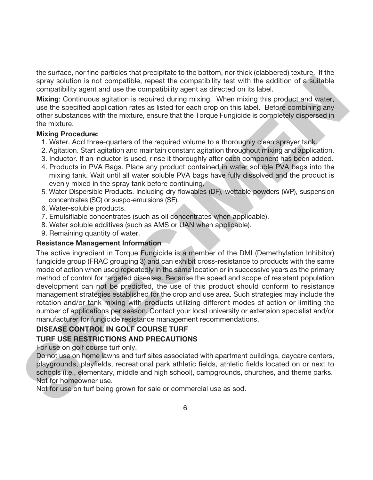the surface, nor fine particles that precipitate to the bottom, nor thick (clabbered) texture. If the spray solution is not compatible, repeat the compatibility test with the addition of a suitable compatibility agent and use the compatibility agent as directed on its label.

**Mixing**: Continuous agitation is required during mixing. When mixing this product and water, use the specified application rates as listed for each crop on this label. Before combining any other substances with the mixture, ensure that the Torque Fungicide is completely dispersed in the mixture.

#### **Mixing Procedure:**

- 1. Water. Add three-quarters of the required volume to a thoroughly clean sprayer tank.
- 2. Agitation. Start agitation and maintain constant agitation throughout mixing and application.
- 3. Inductor. If an inductor is used, rinse it thoroughly after each component has been added.
- 4. Products in PVA Bags. Place any product contained in water soluble PVA bags into the mixing tank. Wait until all water soluble PVA bags have fully dissolved and the product is evenly mixed in the spray tank before continuing.
- 5. Water Dispersible Products. Including dry flowables (DF), wettable powders (WP), suspension concentrates (SC) or suspo-emulsions (SE).
- 6. Water-soluble products.
- 7. Emulsifiable concentrates (such as oil concentrates when applicable).
- 8. Water soluble additives (such as AMS or UAN when applicable).
- 9. Remaining quantity of water.

#### **Resistance Management Information**

The active ingredient in Torque Fungicide is a member of the DMI (Demethylation Inhibitor) fungicide group (FRAC grouping 3) and can exhibit cross-resistance to products with the same mode of action when used repeatedly in the same location or in successive years as the primary method of control for targeted diseases. Because the speed and scope of resistant population development can not be predicted, the use of this product should conform to resistance management strategies established for the crop and use area. Such strategies may include the rotation and/or tank mixing with products utilizing different modes of action or limiting the number of applications per season. Contact your local university or extension specialist and/or manufacturer for fungicide resistance management recommendations. spays solution is not compatible, meant the compatiblity vast with the addition of a suitable compatiblity ogent and us the compatiblity agent as directed on its label.<br>
Mixing: Contrinuous addittion is required during mix

#### **DISEASE CONTROL IN GOLF COURSE TURF**

#### **TURF USE RESTRICTIONS AND PRECAUTIONS**

For use on golf course turf only.

Do not use on home lawns and turf sites associated with apartment buildings, daycare centers, playgrounds, playfields, recreational park athletic fields, athletic fields located on or next to schools (i.e., elementary, middle and high school), campgrounds, churches, and theme parks. Not for homeowner use.

Not for use on turf being grown for sale or commercial use as sod.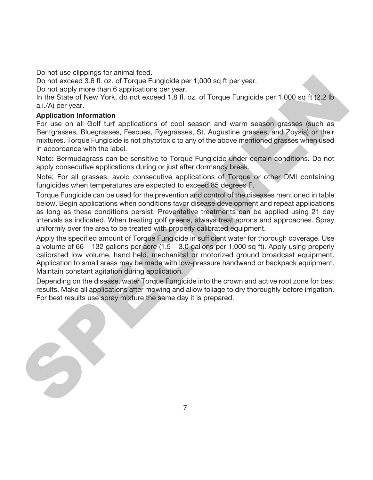Do not use clippings for animal feed.

Do not exceed 3.6 fl. oz. of Torque Fungicide per 1,000 sq ft per year.

Do not apply more than 6 applications per year.

In the State of New York, do not exceed 1.8 fl. oz. of Torque Fungicide per 1,000 sq ft (2.2 lb) a.i./A) per year.

#### **Application Information**

For use on all Golf turf applications of cool season and warm season grasses (such as Bentgrasses, Bluegrasses, Fescues, Ryegrasses, St. Augustine grasses, and Zoysia) or their mixtures. Torque Fungicide is not phytotoxic to any of the above mentioned grasses when used in accordance with the label.

Note: Bermudagrass can be sensitive to Torque Fungicide under certain conditions. Do not apply consecutive applications during or just after dormancy break.

Note: For all grasses, avoid consecutive applications of Torque or other DMI containing fungicides when temperatures are expected to exceed 85 degrees F.

Torque Fungicide can be used for the prevention and control of the diseases mentioned in table below. Begin applications when conditions favor disease development and repeat applications as long as these conditions persist. Preventative treatments can be applied using 21 day intervals as indicated. When treating golf greens, always treat aprons and approaches. Spray uniformly over the area to be treated with properly calibrated equipment. Dia noi exceed 3.5 fil co. of Torque Fundicle per 1,000 sq ft per year.<br>On ori expectation for a controlled per 1,000 sq ft per year.<br>In the State of New York, do not exceed 1.8 fl. oz. of Torque Fungicide per 1,000 sq ft

Apply the specified amount of Torque Fungicide in sufficient water for thorough coverage. Use a volume of 66 – 132 gallons per acre  $(1.5 - 3.0$  gallons per 1,000 sq ft). Apply using properly calibrated low volume, hand held, mechanical or motorized ground broadcast equipment. Application to small areas may be made with low-pressure handwand or backpack equipment. Maintain constant agitation during application.

Depending on the disease, water Torque Fungicide into the crown and active root zone for best results. Make all applications after mowing and allow foliage to dry thoroughly before irrigation. For best results use spray mixture the same day it is prepared.

7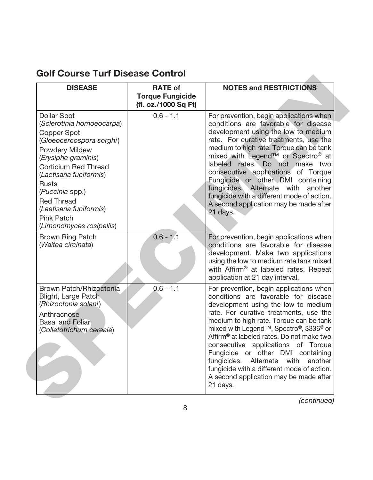## **Golf Course Turf Disease Control**

| <b>DISEASE</b>                                                                                                                                                                                                                                                                                                                           | <b>RATE of</b><br><b>Torque Fungicide</b><br>(fl. oz./1000 Sq Ft) | <b>NOTES and RESTRICTIONS</b>                                                                                                                                                                                                                                                                                                                                                                                                                                                                                                                       |
|------------------------------------------------------------------------------------------------------------------------------------------------------------------------------------------------------------------------------------------------------------------------------------------------------------------------------------------|-------------------------------------------------------------------|-----------------------------------------------------------------------------------------------------------------------------------------------------------------------------------------------------------------------------------------------------------------------------------------------------------------------------------------------------------------------------------------------------------------------------------------------------------------------------------------------------------------------------------------------------|
| <b>Dollar Spot</b><br>(Sclerotinia homoeocarpa)<br>Copper Spot<br>(Gloeocercospora sorghi)<br><b>Powdery Mildew</b><br>(Erysiphe graminis)<br><b>Corticium Red Thread</b><br>(Laetisaria fuciformis)<br><b>Rusts</b><br>(Puccinia spp.)<br><b>Red Thread</b><br>(Laetisaria fuciformis)<br><b>Pink Patch</b><br>(Limonomyces rosipellis) | $0.6 - 1.1$                                                       | For prevention, begin applications when<br>conditions are favorable for disease<br>development using the low to medium<br>rate. For curative treatments, use the<br>medium to high rate. Torque can be tank<br>mixed with Legend™ or Spectro® at<br>labeled rates. Do not make two<br>consecutive applications of Torque<br>Fungicide or other DMI containing<br>fungicides. Alternate with another<br>fungicide with a different mode of action.<br>A second application may be made after<br>21 days.                                             |
| <b>Brown Ring Patch</b><br>(Waitea circinata)                                                                                                                                                                                                                                                                                            | $0.6 - 1.1$                                                       | For prevention, begin applications when<br>conditions are favorable for disease<br>development. Make two applications<br>using the low to medium rate tank mixed<br>with Affirm <sup>®</sup> at labeled rates. Repeat<br>application at 21 day interval.                                                                                                                                                                                                                                                                                            |
| Brown Patch/Rhizoctonia<br>Blight, Large Patch<br>(Rhizoctonia solani)<br>Anthracnose<br><b>Basal and Foliar</b><br>(Colletotrichum cereale)                                                                                                                                                                                             | $0.6 - 1.1$                                                       | For prevention, begin applications when<br>conditions are favorable for disease<br>development using the low to medium<br>rate. For curative treatments, use the<br>medium to high rate. Torque can be tank<br>mixed with Legend <sup>™</sup> , Spectro®, 3336® or<br>Affirm <sup>®</sup> at labeled rates. Do not make two<br>consecutive applications of Torque<br>Fungicide or other DMI containing<br>fungicides. Alternate with<br>another<br>fungicide with a different mode of action.<br>A second application may be made after<br>21 days. |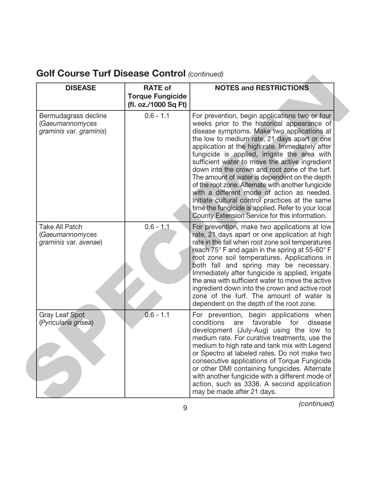| <b>DISEASE</b>                                                     | <b>RATE of</b><br><b>Torque Fungicide</b><br>(fl. oz./1000 Sq Ft) | <b>NOTES and RESTRICTIONS</b>                                                                                                                                                                                                                                                                                                                                                                                                                                                                                                                                                                                                                                                                                      |
|--------------------------------------------------------------------|-------------------------------------------------------------------|--------------------------------------------------------------------------------------------------------------------------------------------------------------------------------------------------------------------------------------------------------------------------------------------------------------------------------------------------------------------------------------------------------------------------------------------------------------------------------------------------------------------------------------------------------------------------------------------------------------------------------------------------------------------------------------------------------------------|
| Bermudagrass decline<br>(Gaeumannomyces<br>graminis var. graminis) | $0.6 - 1.1$                                                       | For prevention, begin applications two or four<br>weeks prior to the historical appearance of<br>disease symptoms. Make two applications at<br>the low to medium rate, 21 days apart or one<br>application at the high rate. Immediately after<br>fungicide is applied, irrigate the area with<br>sufficient water to move the active ingredient<br>down into the crown and root zone of the turf.<br>The amount of water is dependent on the depth<br>of the root zone. Alternate with another fungicide<br>with a different mode of action as needed.<br>Initiate cultural control practices at the same<br>time the fungicide is applied. Refer to your local<br>County Extension Service for this information. |
| <b>Take All Patch</b><br>(Gaeumannomyces<br>graminis var. avenae)  | $0.6 - 1.1$                                                       | For prevention, make two applications at low<br>rate, 21 days apart or one application at high<br>rate in the fall when root zone soil temperatures<br>reach 75° F and again in the spring at 55-60° F<br>root zone soil temperatures. Applications in<br>both fall and spring may be necessary.<br>Immediately after fungicide is applied, irrigate<br>the area with sufficient water to move the active<br>ingredient down into the crown and active root<br>zone of the turf. The amount of water is<br>dependent on the depth of the root zone.                                                                                                                                                                |
| <b>Gray Leaf Spot</b><br>(Pyricularia grisea)                      | $0.6 - 1.1$                                                       | For prevention, begin applications when<br>conditions<br>favorable<br>for<br>disease<br>are<br>development (July-Aug) using the low to<br>medium rate. For curative treatments, use the<br>medium to high rate and tank mix with Legend<br>or Spectro at labeled rates. Do not make two<br>consecutive applications of Torque Fungicide<br>or other DMI containing fungicides. Alternate<br>with another fungicide with a different mode of<br>action, such as 3336. A second application<br>may be made after 21 days.                                                                                                                                                                                            |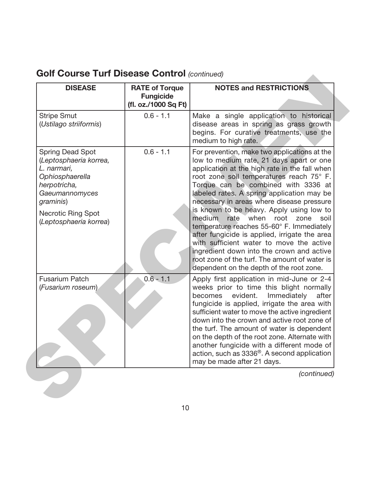| <b>Golf Course Turf Disease Control (continued)</b> |  |  |  |  |
|-----------------------------------------------------|--|--|--|--|
|-----------------------------------------------------|--|--|--|--|

| <b>DISEASE</b>                                                                                                                                                                            | <b>RATE of Torque</b><br><b>Fungicide</b><br>(fl. oz./1000 Sq Ft) | <b>NOTES and RESTRICTIONS</b>                                                                                                                                                                                                                                                                                                                                                                                                                                                                                                                                                                                                                                                                 |
|-------------------------------------------------------------------------------------------------------------------------------------------------------------------------------------------|-------------------------------------------------------------------|-----------------------------------------------------------------------------------------------------------------------------------------------------------------------------------------------------------------------------------------------------------------------------------------------------------------------------------------------------------------------------------------------------------------------------------------------------------------------------------------------------------------------------------------------------------------------------------------------------------------------------------------------------------------------------------------------|
| <b>Stripe Smut</b><br>(Ustilago striiformis)                                                                                                                                              | $0.6 - 1.1$                                                       | Make a single application to historical<br>disease areas in spring as grass growth<br>begins. For curative treatments, use the<br>medium to high rate.                                                                                                                                                                                                                                                                                                                                                                                                                                                                                                                                        |
| <b>Spring Dead Spot</b><br>(Leptosphaeria korrea,<br>L. narmari,<br>Ophiosphaerella<br>herpotricha,<br>Gaeumannomyces<br>graminis)<br><b>Necrotic Ring Spot</b><br>(Leptosphaeria korrea) | $0.6 - 1.1$                                                       | For prevention, make two applications at the<br>low to medium rate, 21 days apart or one<br>application at the high rate in the fall when<br>root zone soil temperatures reach 75° F.<br>Torque can be combined with 3336 at<br>labeled rates. A spring application may be<br>necessary in areas where disease pressure<br>is known to be heavy. Apply using low to<br>medium<br>rate when root zone soil<br>temperature reaches 55-60° F. Immediately<br>after fungicide is applied, irrigate the area<br>with sufficient water to move the active<br>ingredient down into the crown and active<br>root zone of the turf. The amount of water is<br>dependent on the depth of the root zone. |
| <b>Fusarium Patch</b><br>(Fusarium roseum)                                                                                                                                                | $0.6 - 1.1$                                                       | Apply first application in mid-June or 2-4<br>weeks prior to time this blight normally<br>becomes evident.<br>Immediately<br>after<br>fungicide is applied, irrigate the area with<br>sufficient water to move the active ingredient<br>down into the crown and active root zone of<br>the turf. The amount of water is dependent<br>on the depth of the root zone. Alternate with<br>another fungicide with a different mode of<br>action, such as 3336 <sup>®</sup> . A second application<br>may be made after 21 days.                                                                                                                                                                    |
|                                                                                                                                                                                           |                                                                   | (continued)                                                                                                                                                                                                                                                                                                                                                                                                                                                                                                                                                                                                                                                                                   |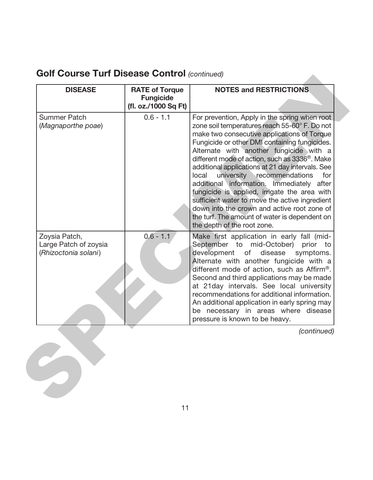| <b>DISEASE</b>                                                 | <b>RATE of Torque</b><br><b>Fungicide</b><br>(fl. oz./1000 Sq Ft) | <b>NOTES and RESTRICTIONS</b>                                                                                                                                                                                                                                                                                                                                                                                                                                                                                                                                                                                                                                                           |
|----------------------------------------------------------------|-------------------------------------------------------------------|-----------------------------------------------------------------------------------------------------------------------------------------------------------------------------------------------------------------------------------------------------------------------------------------------------------------------------------------------------------------------------------------------------------------------------------------------------------------------------------------------------------------------------------------------------------------------------------------------------------------------------------------------------------------------------------------|
| <b>Summer Patch</b><br>(Magnaporthe poae)                      | $0.6 - 1.1$                                                       | For prevention, Apply in the spring when root<br>zone soil temperatures reach 55-60° F. Do not<br>make two consecutive applications of Torque<br>Fungicide or other DMI containing fungicides.<br>Alternate with another fungicide with a<br>different mode of action, such as 3336 <sup>®</sup> . Make<br>additional applications at 21 day intervals. See<br>university recommendations<br>local<br>for<br>additional information. Immediately after<br>fungicide is applied, irrigate the area with<br>sufficient water to move the active ingredient<br>down into the crown and active root zone of<br>the turf. The amount of water is dependent on<br>the depth of the root zone. |
| Zoysia Patch,<br>Large Patch of zoysia<br>(Rhizoctonia solani) | $0.6 - 1.1$                                                       | Make first application in early fall (mid-<br>September to mid-October) prior to<br>development of disease<br>symptoms.<br>Alternate with another fungicide with a<br>different mode of action, such as Affirm <sup>®</sup> .<br>Second and third applications may be made<br>at 21 day intervals. See local university<br>recommendations for additional information.<br>An additional application in early spring may<br>be necessary in areas where disease<br>pressure is known to be heavy.                                                                                                                                                                                        |
|                                                                |                                                                   | (continued)                                                                                                                                                                                                                                                                                                                                                                                                                                                                                                                                                                                                                                                                             |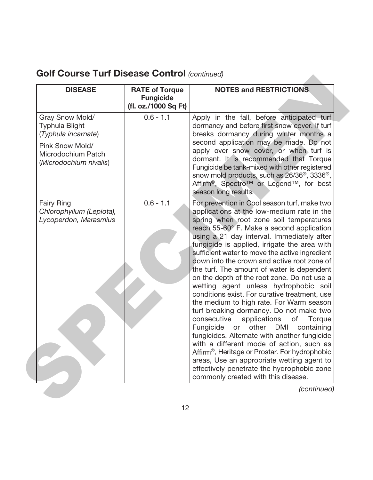| <b>DISEASE</b>                                                                                                                     | <b>RATE of Torque</b><br><b>Fungicide</b><br>(fl. oz./1000 Sq Ft) | <b>NOTES and RESTRICTIONS</b>                                                                                                                                                                                                                                                                                                                                                                                                                                                                                                                                                                                                                                                                                                                                                                                                                                                                                                                                                                                                                             |
|------------------------------------------------------------------------------------------------------------------------------------|-------------------------------------------------------------------|-----------------------------------------------------------------------------------------------------------------------------------------------------------------------------------------------------------------------------------------------------------------------------------------------------------------------------------------------------------------------------------------------------------------------------------------------------------------------------------------------------------------------------------------------------------------------------------------------------------------------------------------------------------------------------------------------------------------------------------------------------------------------------------------------------------------------------------------------------------------------------------------------------------------------------------------------------------------------------------------------------------------------------------------------------------|
| Gray Snow Mold/<br><b>Typhula Blight</b><br>(Typhula incarnate)<br>Pink Snow Mold/<br>Microdochium Patch<br>(Microdochium nivalis) | $0.6 - 1.1$                                                       | Apply in the fall, before anticipated turf<br>dormancy and before first snow cover. If turf<br>breaks dormancy during winter months a<br>second application may be made. Do not<br>apply over snow cover, or when turf is<br>dormant. It is recommended that Torque<br>Fungicide be tank-mixed with other registered<br>snow mold products, such as 26/36 <sup>®</sup> , 3336 <sup>®</sup> ,<br>Affirm <sup>®</sup> , Spectro <sup>™</sup> or Legend™, for best<br>season long results.                                                                                                                                                                                                                                                                                                                                                                                                                                                                                                                                                                   |
| <b>Fairy Ring</b><br>Chlorophyllum (Lepiota),<br>Lycoperdon, Marasmius                                                             | $0.6 - 1.1$                                                       | For prevention in Cool season turf, make two<br>applications at the low-medium rate in the<br>spring when root zone soil temperatures<br>reach 55-60° F. Make a second application<br>using a 21 day interval. Immediately after<br>fungicide is applied, irrigate the area with<br>sufficient water to move the active ingredient<br>down into the crown and active root zone of<br>the turf. The amount of water is dependent<br>on the depth of the root zone. Do not use a<br>wetting agent unless hydrophobic soil<br>conditions exist. For curative treatment, use<br>the medium to high rate. For Warm season<br>turf breaking dormancy. Do not make two<br>consecutive<br>applications<br>of<br>Torque<br>other DMI<br>Fungicide<br>or<br>containing<br>fungicides. Alternate with another fungicide<br>with a different mode of action, such as<br>Affirm <sup>®</sup> , Heritage or Prostar. For hydrophobic<br>areas, Use an appropriate wetting agent to<br>effectively penetrate the hydrophobic zone<br>commonly created with this disease. |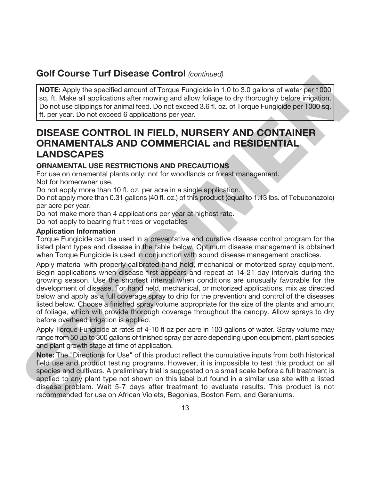**NOTE:** Apply the specified amount of Torque Fungicide in 1.0 to 3.0 gallons of water per 1000 sq. ft. Make all applications after mowing and allow foliage to dry thoroughly before irrigation. Do not use clippings for animal feed. Do not exceed 3.6 fl. oz. of Torque Fungicide per 1000 sq. ft. per year. Do not exceed 6 applications per year.

### **DISEASE CONTROL IN FIELD, NURSERY AND CONTAINER ORNAMENTALS AND COMMERCIAL and RESIDENTIAL LANDSCAPES**

#### **ORNAMENTAL USE RESTRICTIONS AND PRECAUTIONS**

For use on ornamental plants only; not for woodlands or forest management.

Not for homeowner use.

Do not apply more than 10 fl. oz. per acre in a single application.

Do not apply more than 0.31 gallons (40 fl. oz.) of this product (equal to 1.13 lbs. of Tebuconazole) per acre per year.

Do not make more than 4 applications per year at highest rate.

Do not apply to bearing fruit trees or vegetables

#### **Application Information**

Torque Fungicide can be used in a preventative and curative disease control program for the listed plant types and disease in the table below. Optimum disease management is obtained when Torque Fungicide is used in conjunction with sound disease management practices.

Apply material with properly calibrated hand held, mechanical or motorized spray equipment. Begin applications when disease first appears and repeat at 14-21 day intervals during the growing season. Use the shortest interval when conditions are unusually favorable for the development of disease. For hand held, mechanical, or motorized applications, mix as directed below and apply as a full coverage spray to drip for the prevention and control of the diseases listed below. Choose a finished spray volume appropriate for the size of the plants and amount of foliage, which will provide thorough coverage throughout the canopy. Allow sprays to dry before overhead irrigation is applied. **CONFIGURE Total and CONFIGURE CONFIGURE CONFIGURE (SQUARE)**<br>
NOTE Apply the specified amount of Torque Fungicide in 1.0 to 3.0 gallons of water per 1000<br>
sq. ft. Make all applications after moving and allow to liago to do

Apply Torque Fungicide at rates of 4-10 fl oz per acre in 100 gallons of water. Spray volume may range from 50 up to 300 gallons of finished spray per acre depending upon equipment, plant species and plant growth stage at time of application.

**Note:** The "Directions for Use" of this product reflect the cumulative inputs from both historical field use and product testing programs. However, it is impossible to test this product on all species and cultivars. A preliminary trial is suggested on a small scale before a full treatment is applied to any plant type not shown on this label but found in a similar use site with a listed disease problem. Wait 5-7 days after treatment to evaluate results. This product is not recommended for use on African Violets, Begonias, Boston Fern, and Geraniums.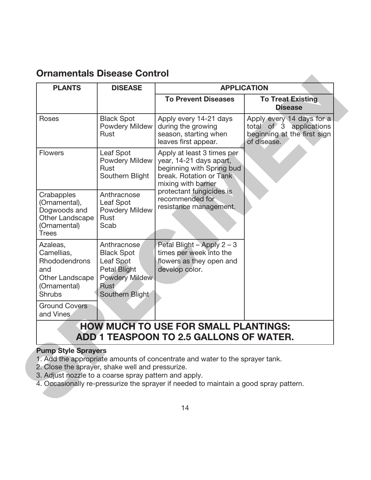### **Ornamentals Disease Control**

| <b>PLANTS</b>                                                                                             | <b>DISEASE</b>                                                                                                           | <b>APPLICATION</b>                                                                                                                   |                                                                                                    |
|-----------------------------------------------------------------------------------------------------------|--------------------------------------------------------------------------------------------------------------------------|--------------------------------------------------------------------------------------------------------------------------------------|----------------------------------------------------------------------------------------------------|
|                                                                                                           |                                                                                                                          | <b>To Prevent Diseases</b>                                                                                                           | <b>To Treat Existing</b><br><b>Disease</b>                                                         |
| Roses                                                                                                     | <b>Black Spot</b><br>Powdery Mildew<br>Rust                                                                              | Apply every 14-21 days<br>during the growing<br>season, starting when<br>leaves first appear.                                        | Apply every 14 days for a<br>total of 3 applications<br>beginning at the first sign<br>of disease. |
| <b>Flowers</b>                                                                                            | Leaf Spot<br>Powdery Mildew<br>Rust<br>Southern Blight                                                                   | Apply at least 3 times per<br>year, 14-21 days apart,<br>beginning with Spring bud<br>break. Rotation or Tank<br>mixing with barrier |                                                                                                    |
| Crabapples<br>(Ornamental),<br>Dogwoods and<br>Other Landscape<br>(Ornamental)<br><b>Trees</b>            | Anthracnose<br>Leaf Spot<br><b>Powdery Mildew</b><br>Rust<br>Scab                                                        | protectant fungicides is<br>recommended for<br>resistance management.                                                                |                                                                                                    |
| Azaleas,<br>Camellias,<br><b>Rhododendrons</b><br>and<br>Other Landscape<br>(Ornamental)<br><b>Shrubs</b> | Anthracnose<br><b>Black Spot</b><br>Leaf Spot<br><b>Petal Blight</b><br>Powdery Mildew<br><b>Rust</b><br>Southern Blight | Petal Blight - Apply $2 - 3$<br>times per week into the<br>flowers as they open and<br>develop color.                                |                                                                                                    |
| <b>Ground Covers</b><br>and Vines                                                                         |                                                                                                                          |                                                                                                                                      |                                                                                                    |
|                                                                                                           |                                                                                                                          | <b>HOW MUCH TO USE FOR SMALL PLANTINGS:</b><br><b>ADD 1 TEASPOON TO 2.5 GALLONS OF WATER.</b>                                        |                                                                                                    |

#### **Pump Style Sprayers**

- 1. Add the appropriate amounts of concentrate and water to the sprayer tank.
- 2. Close the sprayer, shake well and pressurize.
- 3. Adjust nozzle to a coarse spray pattern and apply.
- 4. Occasionally re-pressurize the sprayer if needed to maintain a good spray pattern.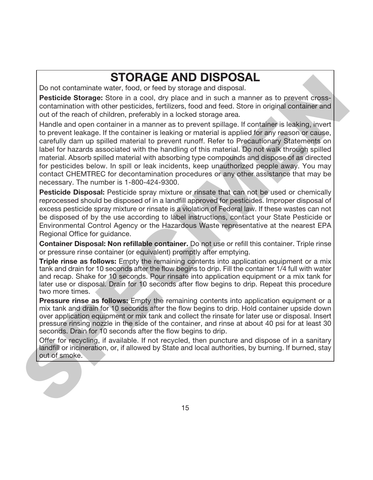# **STORAGE AND DISPOSAL**

Do not contaminate water, food, or feed by storage and disposal.

**Pesticide Storage:** Store in a cool, dry place and in such a manner as to prevent crosscontamination with other pesticides, fertilizers, food and feed. Store in original container and out of the reach of children, preferably in a locked storage area.

Handle and open container in a manner as to prevent spillage. If container is leaking, invert to prevent leakage. If the container is leaking or material is applied for any reason or cause, carefully dam up spilled material to prevent runoff. Refer to Precautionary Statements on label for hazards associated with the handling of this material. Do not walk through spilled material. Absorb spilled material with absorbing type compounds and dispose of as directed for pesticides below. In spill or leak incidents, keep unauthorized people away. You may contact CHEMTREC for decontamination procedures or any other assistance that may be necessary. The number is 1-800-424-9300. Do not contaminate water, **SYIOHRAGE AND DISPPOSSAL.**<br>
Do not contaminate water, food, or feed by storage and disposal.<br> **Peaticide Storage:** Store in a cool, dry place and in such a mamner as to prevent cross-<br>
contaminat

**Pesticide Disposal:** Pesticide spray mixture or rinsate that can not be used or chemically reprocessed should be disposed of in a landfill approved for pesticides. Improper disposal of excess pesticide spray mixture or rinsate is a violation of Federal law. If these wastes can not be disposed of by the use according to label instructions, contact your State Pesticide or Environmental Control Agency or the Hazardous Waste representative at the nearest EPA Regional Office for guidance.

**Container Disposal: Non refillable container.** Do not use or refill this container. Triple rinse or pressure rinse container (or equivalent) promptly after emptying.

**Triple rinse as follows:** Empty the remaining contents into application equipment or a mix tank and drain for 10 seconds after the flow begins to drip. Fill the container 1/4 full with water and recap. Shake for 10 seconds. Pour rinsate into application equipment or a mix tank for later use or disposal. Drain for 10 seconds after flow begins to drip. Repeat this procedure two more times.

**Pressure rinse as follows:** Empty the remaining contents into application equipment or a mix tank and drain for 10 seconds after the flow begins to drip. Hold container upside down over application equipment or mix tank and collect the rinsate for later use or disposal. Insert pressure rinsing nozzle in the side of the container, and rinse at about 40 psi for at least 30 seconds. Drain for 10 seconds after the flow begins to drip.

Offer for recycling, if available. If not recycled, then puncture and dispose of in a sanitary landfill or incineration, or, if allowed by State and local authorities, by burning. If burned, stay out of smoke.